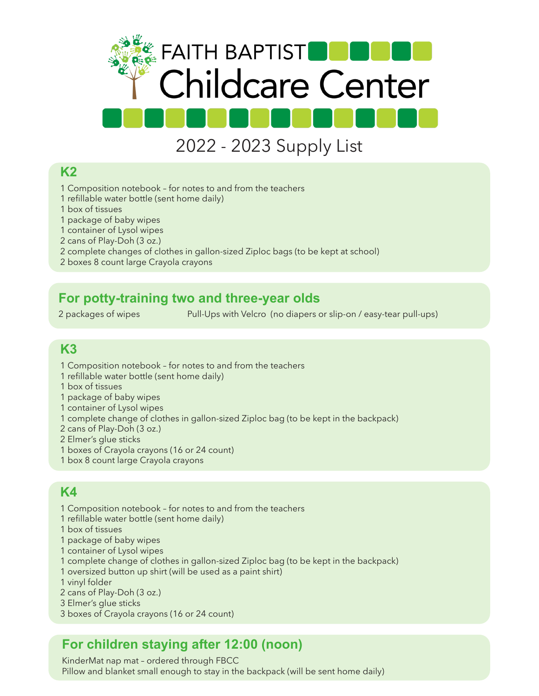

# 2022 - 2023 Supply List

#### **K2**

- 1 Composition notebook for notes to and from the teachers
- 1 refillable water bottle (sent home daily)
- 1 box of tissues
- 1 package of baby wipes
- 1 container of Lysol wipes
- 2 cans of Play-Doh (3 oz.)
- 2 complete changes of clothes in gallon-sized Ziploc bags (to be kept at school)
- 2 boxes 8 count large Crayola crayons

#### **For potty-training two and three-year olds**

2 packages of wipes Pull-Ups with Velcro (no diapers or slip-on / easy-tear pull-ups)

## **K3**

- 1 Composition notebook for notes to and from the teachers
- 1 refillable water bottle (sent home daily)
- 1 box of tissues
- 1 package of baby wipes
- 1 container of Lysol wipes
- 1 complete change of clothes in gallon-sized Ziploc bag (to be kept in the backpack)
- 2 cans of Play-Doh (3 oz.)
- 2 Elmer's glue sticks
- 1 boxes of Crayola crayons (16 or 24 count)
- 1 box 8 count large Crayola crayons

## **K4**

- 1 Composition notebook for notes to and from the teachers
- 1 refillable water bottle (sent home daily)
- 1 box of tissues
- 1 package of baby wipes
- 1 container of Lysol wipes
- 1 complete change of clothes in gallon-sized Ziploc bag (to be kept in the backpack)
- 1 oversized button up shirt (will be used as a paint shirt)
- 1 vinyl folder
- 2 cans of Play-Doh (3 oz.)
- 3 Elmer's glue sticks
- 3 boxes of Crayola crayons (16 or 24 count)

## **For children staying after 12:00 (noon)**

KinderMat nap mat – ordered through FBCC Pillow and blanket small enough to stay in the backpack (will be sent home daily)